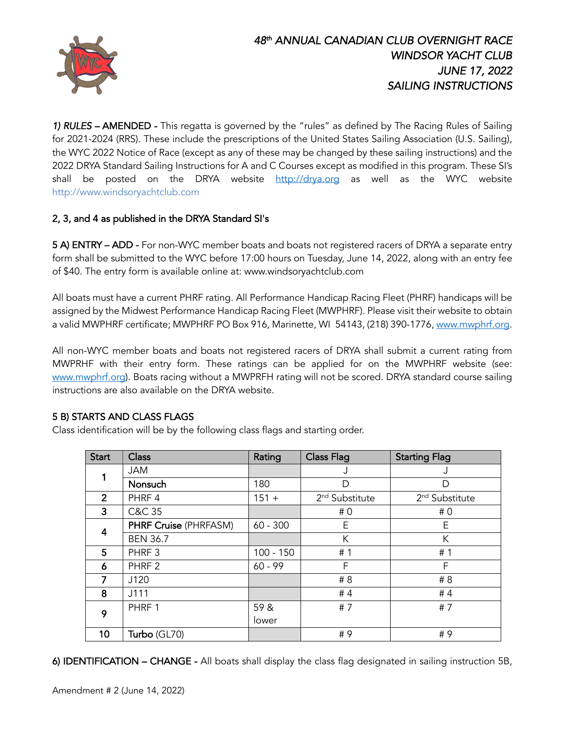

*1) RULES –* AMENDED -This regatta is governed by the "rules" as defined by The Racing Rules of Sailing for 2021-2024 (RRS). These include the prescriptions of the United States Sailing Association (U.S. Sailing), the WYC 2022 Notice of Race (except as any of these may be changed by these sailing instructions) and the 2022 DRYA Standard Sailing Instructions for A and C Courses except as modified in this program. These SI's shall be posted on the DRYA website http://drya.org as well as the WYC website http://www.windsoryachtclub.com

# 2, 3, and 4 as published in the DRYA Standard SI's

5 A) ENTRY – ADD - For non-WYC member boats and boats not registered racers of DRYA a separate entry form shall be submitted to the WYC before 17:00 hours on Tuesday, June 14, 2022, along with an entry fee of \$40. The entry form is available online at: www.windsoryachtclub.com

All boats must have a current PHRF rating. All Performance Handicap Racing Fleet (PHRF) handicaps will be assigned by the Midwest Performance Handicap Racing Fleet (MWPHRF). Please visit their website to obtain a valid MWPHRF certificate; MWPHRF PO Box 916, Marinette, WI 54143, (218) 390-1776, www.mwphrf.org.

All non-WYC member boats and boats not registered racers of DRYA shall submit a current rating from MWPRHF with their entry form. These ratings can be applied for on the MWPHRF website (see: www.mwphrf.org). Boats racing without a MWPRFH rating will not be scored. DRYA standard course sailing instructions are also available on the DRYA website.

### 5 B) STARTS AND CLASS FLAGS

Class identification will be by the following class flags and starting order.

| <b>Start</b>   | <b>Class</b>                 | Rating      | <b>Class Flag</b>          | <b>Starting Flag</b>       |
|----------------|------------------------------|-------------|----------------------------|----------------------------|
| 1              | <b>JAM</b>                   |             | J                          | J                          |
|                | Nonsuch                      | 180         | D                          | D                          |
| $\overline{2}$ | PHRF 4                       | $151 +$     | 2 <sup>nd</sup> Substitute | 2 <sup>nd</sup> Substitute |
| 3              | C&C 35                       |             | #0                         | #0                         |
| 4              | <b>PHRF Cruise (PHRFASM)</b> | $60 - 300$  | E                          | E                          |
|                | <b>BEN 36.7</b>              |             | К                          | К                          |
| 5              | PHRF <sub>3</sub>            | $100 - 150$ | #1                         | #1                         |
| 6              | PHRF <sub>2</sub>            | $60 - 99$   | F                          | F                          |
| 7              | J120                         |             | # 8                        | # 8                        |
| 8              | J111                         |             | #4                         | #4                         |
| 9              | PHRF 1                       | 59 &        | #7                         | #7                         |
|                |                              | lower       |                            |                            |
| 10             | Turbo (GL70)                 |             | #9                         | # 9                        |

6) IDENTIFICATION – CHANGE - All boats shall display the class flag designated in sailing instruction 5B,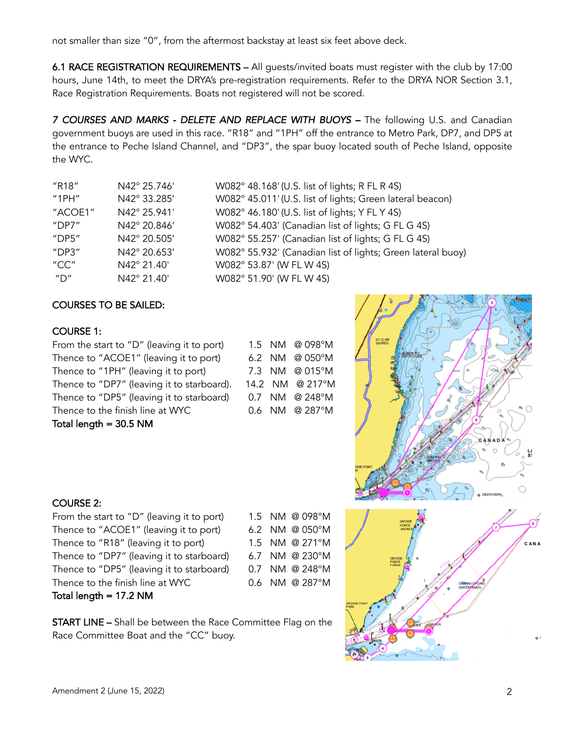not smaller than size "0", from the aftermost backstay at least six feet above deck.

6.1 RACE REGISTRATION REQUIREMENTS – All guests/invited boats must register with the club by 17:00 hours, June 14th, to meet the DRYA's pre-registration requirements. Refer to the DRYA NOR Section 3.1, Race Registration Requirements. Boats not registered will not be scored.

7 COURSES AND MARKS - DELETE AND REPLACE WITH BUOYS - The following U.S. and Canadian government buoys areused in this race. "R18" and "1PH" off the entrance to Metro Park, DP7, and DP5 at the entrance to Peche Island Channel, and "DP3", the spar buoy located south of Peche Island, opposite the WYC.

| "R18"                                 | N42° 25.746' | W082° 48.168' (U.S. list of |
|---------------------------------------|--------------|-----------------------------|
| "1PH"                                 | N42° 33.285' | W082° 45.011' (U.S. list of |
| "ACOE1"                               | N42° 25.941' | W082° 46.180' (U.S. list of |
| "DP7"                                 | N42° 20.846' | W082° 54.403' (Canadian     |
| $"$ DP5"                              | N42° 20.505' | W082° 55.257' (Canadian     |
| "DP3"                                 | N42° 20.653' | W082° 55.932' (Canadian     |
| "CC"                                  | N42° 21.40'  | W082° 53.87' (W FL W 4S)    |
| $^{\prime\prime}$ D $^{\prime\prime}$ | N42° 21.40'  | W082° 51.90' (W FL W 4S)    |

| "R18"                                 | N42° 25.746' | W082° 48.168' (U.S. list of lights; R FL R 4S)              |
|---------------------------------------|--------------|-------------------------------------------------------------|
| "1PH"                                 | N42° 33.285' | W082° 45.011' (U.S. list of lights; Green lateral beacon)   |
| "ACOE1"                               | N42° 25.941' | W082° 46.180' (U.S. list of lights; Y FL Y 4S)              |
| "DP7"                                 | N42° 20.846' | W082° 54.403' (Canadian list of lights; G FL G 4S)          |
| $"$ DP5 $"$                           | N42° 20.505' | W082° 55.257' (Canadian list of lights; G FL G 4S)          |
| "DP3"                                 | N42° 20.653' | W082° 55.932' (Canadian list of lights; Green lateral buoy) |
| "CC"                                  | N42° 21.40'  | W082° 53.87' (W FL W 4S)                                    |
| $^{\prime\prime}$ D $^{\prime\prime}$ | N42° 21.40'  | W082° 51.90' (W FL W 4S)                                    |

# COURSES TO BE SAILED:

### COURSE 1:

From the start to "D" (leaving it to port) Thence to "ACOE1" (leaving it to port) Thence to "1PH" (leaving it to port) Thence to "DP7" (leaving it to starboard). Thence to "DP5" (leaving it to starboard) Thence to the finish line at WYC Total length = 30.5 NM

| 1.5  | NM  | @ 098°M    |
|------|-----|------------|
| 6.2  | NM. | @ 050°M    |
| 7.3  | NM  | @ 015°M    |
| 14.2 |     | NM @ 217°M |
| 0.7  | NM. | @ 248°M    |
| 0.6  | NM  | @ 287°M    |



# COURSE 2:

From the start to "D" (leaving it to port) 1.5 NM @ 098°M Thence to "ACOE1" (leaving it to port) 6.2 NM @ 050°M Thence to "R18" (leaving it to port) 1.5 NM @ 271°M Thence to "DP7" (leaving it to starboard) 6.7 NM @ 230°M Thence to "DP5" (leaving it to starboard) 0.7 NM @ 248°M Thence to the finish line at WYC 0.6 NM @ 287°M Total length = 17.2 NM

START LINE – Shall be between the Race Committee Flag on the Race Committee Boat and the "CC" buoy.

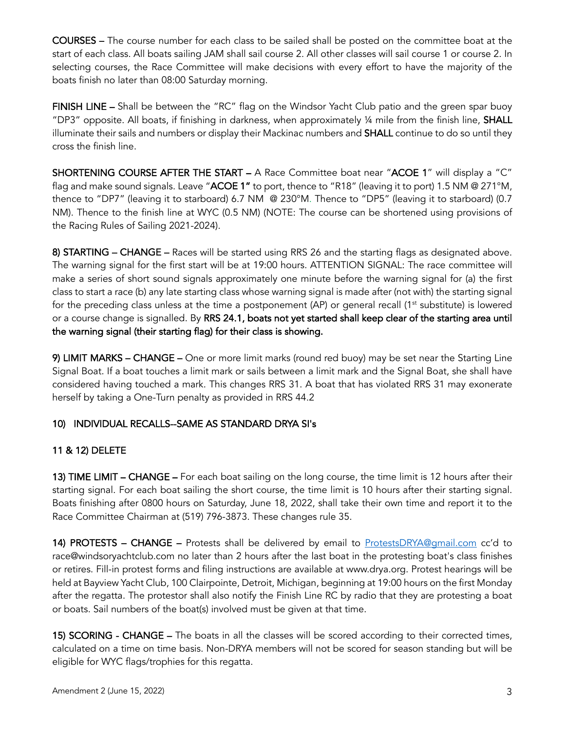COURSES – The course number for each class to be sailed shall be posted on the committee boat at the start of each class. All boats sailing JAM shall sail course 2. All other classes will sail course 1 or course 2. In selecting courses, the Race Committee will make decisions with every effort to have the majority of the boats finish no later than 08:00 Saturday morning.

FINISH LINE - Shall be between the "RC" flag on the Windsor Yacht Club patio and the green spar buoy "DP3" opposite. All boats, if finishing in darkness, when approximately  $\frac{1}{4}$  mile from the finish line, SHALL illuminate their sails and numbers or display their Mackinac numbers and **SHALL** continue to do so until they cross the finish line.

SHORTENING COURSE AFTER THE START – A Race Committee boat near "ACOE 1" will display a "C" flag and make sound signals. Leave "ACOE 1" to port, thence to "R18" (leaving it to port) 1.5 NM @ 271°M, thence to "DP7" (leaving it to starboard) 6.7 NM @ 230°M. Thence to "DP5" (leaving it to starboard) (0.7 NM). Thence to the finish line at WYC (0.5 NM) (NOTE: The course can be shortened using provisions of the Racing Rules of Sailing 2021-2024).

8) STARTING – CHANGE – Races will be started using RRS 26 and the starting flags as designated above. The warning signal for the first start will be at 19:00 hours. ATTENTION SIGNAL: The race committee will make a series of short sound signals approximately one minute before the warning signal for (a) the first class to start a race (b) any late starting class whose warning signal is made after (not with) the starting signal for the preceding class unless at the time a postponement  $AP$ ) or general recall  $(1<sup>st</sup>$  substitute) is lowered or a course change is signalled. By RRS 24.1, boats not yet started shall keep clear of the starting area until the warning signal (their starting flag) for their class is showing.

9) LIMIT MARKS – CHANGE – One or more limit marks (round red buoy) may be set near the Starting Line Signal Boat. If a boat touches a limit mark or sails between a limit mark and the Signal Boat, she shall have considered having touched a mark. This changes RRS 31. A boat that has violated RRS 31 may exonerate herself by taking a One-Turn penalty as provided in RRS 44.2

# 10) INDIVIDUAL RECALLS--SAME AS STANDARD DRYA SI's

# 11 & 12) DELETE

13) TIME LIMIT – CHANGE – For each boat sailing on the long course, the time limit is 12 hours after their starting signal. For each boat sailing the short course, the time limit is 10 hours after their starting signal. Boats finishing after 0800 hours on Saturday, June 18, 2022, shall take their own time and report it to the Race Committee Chairman at (519) 796-3873. These changes rule 35.

14) PROTESTS - CHANGE - Protests shall be delivered by email to ProtestsDRYA@gmail.com cc'd to race@windsoryachtclub.com no later than 2 hours after the last boat in the protesting boat's class finishes or retires. Fill-in protest forms and filing instructions are available at www.drya.org. Protest hearings will be held at Bayview Yacht Club, 100 Clairpointe, Detroit, Michigan, beginning at 19:00 hours on the first Monday after the regatta. The protestor shall also notify the Finish Line RC by radio that they are protesting a boat or boats. Sail numbers of the boat(s) involved must be given at that time.

15) SCORING - CHANGE – The boats in all the classes will be scored according to their corrected times, calculated on a time on time basis. Non-DRYA members will not be scored for season standing but will be eligible for WYC flags/trophies for this regatta.